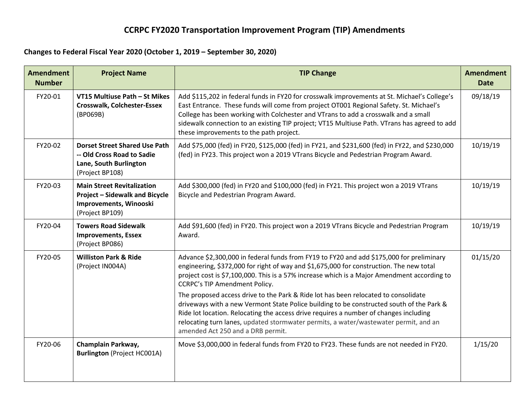## **CCRPC FY2020 Transportation Improvement Program (TIP) Amendments**

## **Changes to Federal Fiscal Year 2020 (October 1, 2019 – September 30, 2020)**

| <b>Amendment</b><br><b>Number</b> | <b>Project Name</b>                                                                                                     | <b>TIP Change</b>                                                                                                                                                                                                                                                                                                                                                                                                       | <b>Amendment</b><br><b>Date</b> |
|-----------------------------------|-------------------------------------------------------------------------------------------------------------------------|-------------------------------------------------------------------------------------------------------------------------------------------------------------------------------------------------------------------------------------------------------------------------------------------------------------------------------------------------------------------------------------------------------------------------|---------------------------------|
| FY20-01                           | VT15 Multiuse Path - St Mikes<br><b>Crosswalk, Colchester-Essex</b><br>(BP069B)                                         | Add \$115,202 in federal funds in FY20 for crosswalk improvements at St. Michael's College's<br>East Entrance. These funds will come from project OT001 Regional Safety. St. Michael's<br>College has been working with Colchester and VTrans to add a crosswalk and a small<br>sidewalk connection to an existing TIP project; VT15 Multiuse Path. VTrans has agreed to add<br>these improvements to the path project. | 09/18/19                        |
| FY20-02                           | <b>Dorset Street Shared Use Path</b><br>-- Old Cross Road to Sadie<br>Lane, South Burlington<br>(Project BP108)         | Add \$75,000 (fed) in FY20, \$125,000 (fed) in FY21, and \$231,600 (fed) in FY22, and \$230,000<br>(fed) in FY23. This project won a 2019 VTrans Bicycle and Pedestrian Program Award.                                                                                                                                                                                                                                  | 10/19/19                        |
| FY20-03                           | <b>Main Street Revitalization</b><br><b>Project - Sidewalk and Bicycle</b><br>Improvements, Winooski<br>(Project BP109) | Add \$300,000 (fed) in FY20 and \$100,000 (fed) in FY21. This project won a 2019 VTrans<br>Bicycle and Pedestrian Program Award.                                                                                                                                                                                                                                                                                        | 10/19/19                        |
| FY20-04                           | <b>Towers Road Sidewalk</b><br><b>Improvements, Essex</b><br>(Project BP086)                                            | Add \$91,600 (fed) in FY20. This project won a 2019 VTrans Bicycle and Pedestrian Program<br>Award.                                                                                                                                                                                                                                                                                                                     | 10/19/19                        |
| FY20-05                           | <b>Williston Park &amp; Ride</b><br>(Project IN004A)                                                                    | Advance \$2,300,000 in federal funds from FY19 to FY20 and add \$175,000 for preliminary<br>engineering, \$372,000 for right of way and \$1,675,000 for construction. The new total<br>project cost is \$7,100,000. This is a 57% increase which is a Major Amendment according to<br><b>CCRPC's TIP Amendment Policy.</b>                                                                                              | 01/15/20                        |
|                                   |                                                                                                                         | The proposed access drive to the Park & Ride lot has been relocated to consolidate<br>driveways with a new Vermont State Police building to be constructed south of the Park &<br>Ride lot location. Relocating the access drive requires a number of changes including<br>relocating turn lanes, updated stormwater permits, a water/wastewater permit, and an<br>amended Act 250 and a DRB permit.                    |                                 |
| FY20-06                           | Champlain Parkway,<br><b>Burlington (Project HC001A)</b>                                                                | Move \$3,000,000 in federal funds from FY20 to FY23. These funds are not needed in FY20.                                                                                                                                                                                                                                                                                                                                | 1/15/20                         |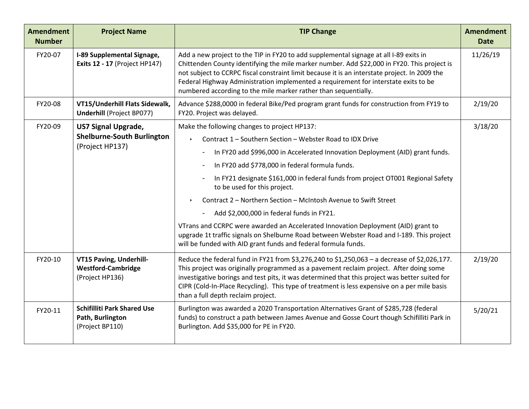| <b>Amendment</b><br><b>Number</b> | <b>Project Name</b>                                                                                           | <b>TIP Change</b>                                                                                                                                                                                                                                                                                                                                                                                                                                                                                                                                                                                                                                                                                                                    | <b>Amendment</b><br><b>Date</b> |
|-----------------------------------|---------------------------------------------------------------------------------------------------------------|--------------------------------------------------------------------------------------------------------------------------------------------------------------------------------------------------------------------------------------------------------------------------------------------------------------------------------------------------------------------------------------------------------------------------------------------------------------------------------------------------------------------------------------------------------------------------------------------------------------------------------------------------------------------------------------------------------------------------------------|---------------------------------|
| FY20-07                           | I-89 Supplemental Signage,<br><b>Exits 12 - 17 (Project HP147)</b>                                            | Add a new project to the TIP in FY20 to add supplemental signage at all I-89 exits in<br>Chittenden County identifying the mile marker number. Add \$22,000 in FY20. This project is<br>not subject to CCRPC fiscal constraint limit because it is an interstate project. In 2009 the<br>Federal Highway Administration implemented a requirement for interstate exits to be<br>numbered according to the mile marker rather than sequentially.                                                                                                                                                                                                                                                                                      | 11/26/19                        |
| FY20-08                           | VT15/Underhill Flats Sidewalk,<br><b>Underhill (Project BP077)</b>                                            | Advance \$288,0000 in federal Bike/Ped program grant funds for construction from FY19 to<br>FY20. Project was delayed.                                                                                                                                                                                                                                                                                                                                                                                                                                                                                                                                                                                                               | 2/19/20                         |
| FY20-09                           | <b>US7 Signal Upgrade,</b><br><b>Shelburne-South Burlington</b><br>(Project HP137)                            | Make the following changes to project HP137:<br>Contract 1 - Southern Section - Webster Road to IDX Drive<br>In FY20 add \$996,000 in Accelerated Innovation Deployment (AID) grant funds.<br>In FY20 add \$778,000 in federal formula funds.<br>In FY21 designate \$161,000 in federal funds from project OT001 Regional Safety<br>to be used for this project.<br>Contract 2 - Northern Section - McIntosh Avenue to Swift Street<br>Add \$2,000,000 in federal funds in FY21.<br>VTrans and CCRPC were awarded an Accelerated Innovation Deployment (AID) grant to<br>upgrade 1t traffic signals on Shelburne Road between Webster Road and I-189. This project<br>will be funded with AID grant funds and federal formula funds. | 3/18/20                         |
| FY20-10<br>FY20-11                | VT15 Paving, Underhill-<br><b>Westford-Cambridge</b><br>(Project HP136)<br><b>Schifilliti Park Shared Use</b> | Reduce the federal fund in FY21 from \$3,276,240 to \$1,250,063 - a decrease of \$2,026,177.<br>This project was originally programmed as a pavement reclaim project. After doing some<br>investigative borings and test pits, it was determined that this project was better suited for<br>CIPR (Cold-In-Place Recycling). This type of treatment is less expensive on a per mile basis<br>than a full depth reclaim project.<br>Burlington was awarded a 2020 Transportation Alternatives Grant of \$285,728 (federal                                                                                                                                                                                                              | 2/19/20<br>5/20/21              |
|                                   | Path, Burlington<br>(Project BP110)                                                                           | funds) to construct a path between James Avenue and Gosse Court though Schifilliti Park in<br>Burlington. Add \$35,000 for PE in FY20.                                                                                                                                                                                                                                                                                                                                                                                                                                                                                                                                                                                               |                                 |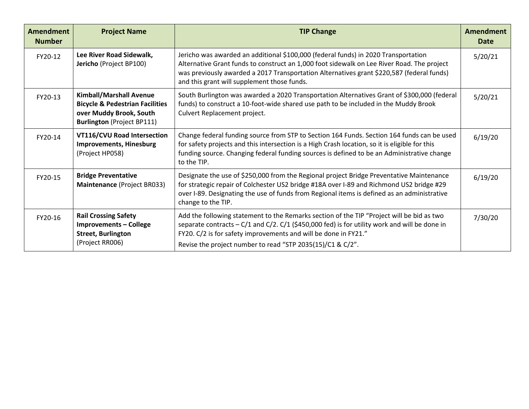| <b>Amendment</b><br><b>Number</b> | <b>Project Name</b>                                                                                                                          | <b>TIP Change</b>                                                                                                                                                                                                                                                                                                                 | Amendment<br>Date |
|-----------------------------------|----------------------------------------------------------------------------------------------------------------------------------------------|-----------------------------------------------------------------------------------------------------------------------------------------------------------------------------------------------------------------------------------------------------------------------------------------------------------------------------------|-------------------|
| FY20-12                           | Lee River Road Sidewalk,<br>Jericho (Project BP100)                                                                                          | Jericho was awarded an additional \$100,000 (federal funds) in 2020 Transportation<br>Alternative Grant funds to construct an 1,000 foot sidewalk on Lee River Road. The project<br>was previously awarded a 2017 Transportation Alternatives grant \$220,587 (federal funds)<br>and this grant will supplement those funds.      | 5/20/21           |
| FY20-13                           | <b>Kimball/Marshall Avenue</b><br><b>Bicycle &amp; Pedestrian Facilities</b><br>over Muddy Brook, South<br><b>Burlington</b> (Project BP111) | South Burlington was awarded a 2020 Transportation Alternatives Grant of \$300,000 (federal<br>funds) to construct a 10-foot-wide shared use path to be included in the Muddy Brook<br>Culvert Replacement project.                                                                                                               | 5/20/21           |
| FY20-14                           | <b>VT116/CVU Road Intersection</b><br><b>Improvements, Hinesburg</b><br>(Project HP058)                                                      | Change federal funding source from STP to Section 164 Funds. Section 164 funds can be used<br>for safety projects and this intersection is a High Crash location, so it is eligible for this<br>funding source. Changing federal funding sources is defined to be an Administrative change<br>to the TIP.                         | 6/19/20           |
| FY20-15                           | <b>Bridge Preventative</b><br>Maintenance (Project BR033)                                                                                    | Designate the use of \$250,000 from the Regional project Bridge Preventative Maintenance<br>for strategic repair of Colchester US2 bridge #18A over I-89 and Richmond US2 bridge #29<br>over I-89. Designating the use of funds from Regional items is defined as an administrative<br>change to the TIP.                         | 6/19/20           |
| FY20-16                           | <b>Rail Crossing Safety</b><br><b>Improvements - College</b><br><b>Street, Burlington</b><br>(Project RR006)                                 | Add the following statement to the Remarks section of the TIP "Project will be bid as two<br>separate contracts $-C/1$ and $C/2$ . $C/1$ (\$450,000 fed) is for utility work and will be done in<br>FY20. C/2 is for safety improvements and will be done in FY21."<br>Revise the project number to read "STP 2035(15)/C1 & C/2". | 7/30/20           |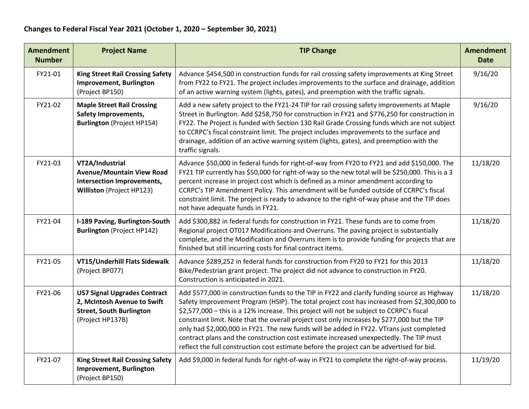| <b>Amendment</b><br><b>Number</b> | <b>Project Name</b>                                                                                                       | <b>TIP Change</b>                                                                                                                                                                                                                                                                                                                                                                                                                                                                                                                                                                                                                                                          | <b>Amendment</b><br><b>Date</b> |
|-----------------------------------|---------------------------------------------------------------------------------------------------------------------------|----------------------------------------------------------------------------------------------------------------------------------------------------------------------------------------------------------------------------------------------------------------------------------------------------------------------------------------------------------------------------------------------------------------------------------------------------------------------------------------------------------------------------------------------------------------------------------------------------------------------------------------------------------------------------|---------------------------------|
| FY21-01                           | <b>King Street Rail Crossing Safety</b><br><b>Improvement, Burlington</b><br>(Project BP150)                              | Advance \$454,500 in construction funds for rail crossing safety improvements at King Street<br>from FY22 to FY21. The project includes improvements to the surface and drainage, addition<br>of an active warning system (lights, gates), and preemption with the traffic signals.                                                                                                                                                                                                                                                                                                                                                                                        | 9/16/20                         |
| FY21-02                           | <b>Maple Street Rail Crossing</b><br><b>Safety Improvements,</b><br><b>Burlington</b> (Project HP154)                     | Add a new safety project to the FY21-24 TIP for rail crossing safety improvements at Maple<br>Street in Burlington. Add \$258,750 for construction in FY21 and \$776,250 for construction in<br>FY22. The Project is funded with Section 130 Rail Grade Crossing funds which are not subject<br>to CCRPC's fiscal constraint limit. The project includes improvements to the surface and<br>drainage, addition of an active warning system (lights, gates), and preemption with the<br>traffic signals.                                                                                                                                                                    | 9/16/20                         |
| FY21-03                           | VT2A/Industrial<br><b>Avenue/Mountain View Road</b><br>Intersection Improvements,<br>Williston (Project HP123)            | Advance \$50,000 in federal funds for right-of-way from FY20 to FY21 and add \$150,000. The<br>FY21 TIP currently has \$50,000 for right-of-way so the new total will be \$250,000. This is a 3<br>percent increase in project cost which is defined as a minor amendment according to<br>CCRPC's TIP Amendment Policy. This amendment will be funded outside of CCRPC's fiscal<br>constraint limit. The project is ready to advance to the right-of-way phase and the TIP does<br>not have adequate funds in FY21.                                                                                                                                                        | 11/18/20                        |
| FY21-04                           | I-189 Paving, Burlington-South<br><b>Burlington</b> (Project HP142)                                                       | Add \$300,882 in federal funds for construction in FY21. These funds are to come from<br>Regional project OT017 Modifications and Overruns. The paving project is substantially<br>complete, and the Modification and Overruns item is to provide funding for projects that are<br>finished but still incurring costs for final contract items.                                                                                                                                                                                                                                                                                                                            | 11/18/20                        |
| FY21-05                           | VT15/Underhill Flats Sidewalk<br>(Project BP077)                                                                          | Advance \$289,252 in federal funds for construction from FY20 to FY21 for this 2013<br>Bike/Pedestrian grant project. The project did not advance to construction in FY20.<br>Construction is anticipated in 2021.                                                                                                                                                                                                                                                                                                                                                                                                                                                         | 11/18/20                        |
| FY21-06                           | <b>US7 Signal Upgrades Contract</b><br>2, McIntosh Avenue to Swift<br><b>Street, South Burlington</b><br>(Project HP137B) | Add \$577,000 in construction funds to the TIP in FY22 and clarify funding source as Highway<br>Safety Improvement Program (HSIP). The total project cost has increased from \$2,300,000 to<br>\$2,577,000 - this is a 12% increase. This project will not be subject to CCRPC's fiscal<br>constraint limit. Note that the overall project cost only increases by \$277,000 but the TIP<br>only had \$2,000,000 in FY21. The new funds will be added in FY22. VTrans just completed<br>contract plans and the construction cost estimate increased unexpectedly. The TIP must<br>reflect the full construction cost estimate before the project can be advertised for bid. | 11/18/20                        |
| FY21-07                           | <b>King Street Rail Crossing Safety</b><br><b>Improvement, Burlington</b><br>(Project BP150)                              | Add \$9,000 in federal funds for right-of-way in FY21 to complete the right-of-way process.                                                                                                                                                                                                                                                                                                                                                                                                                                                                                                                                                                                | 11/19/20                        |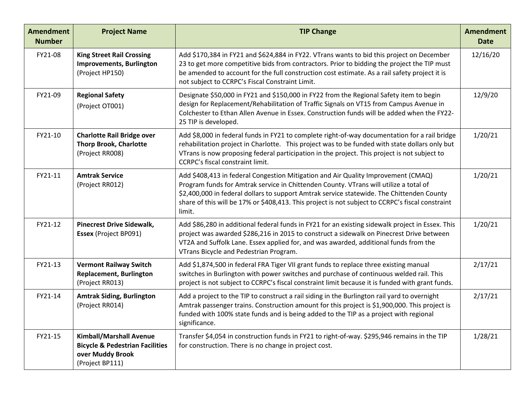| <b>Amendment</b><br><b>Number</b> | <b>Project Name</b>                                                                                                 | <b>TIP Change</b>                                                                                                                                                                                                                                                                                                                                                                     | <b>Amendment</b><br><b>Date</b> |
|-----------------------------------|---------------------------------------------------------------------------------------------------------------------|---------------------------------------------------------------------------------------------------------------------------------------------------------------------------------------------------------------------------------------------------------------------------------------------------------------------------------------------------------------------------------------|---------------------------------|
| FY21-08                           | <b>King Street Rail Crossing</b><br><b>Improvements, Burlington</b><br>(Project HP150)                              | Add \$170,384 in FY21 and \$624,884 in FY22. VTrans wants to bid this project on December<br>23 to get more competitive bids from contractors. Prior to bidding the project the TIP must<br>be amended to account for the full construction cost estimate. As a rail safety project it is<br>not subject to CCRPC's Fiscal Constraint Limit.                                          | 12/16/20                        |
| FY21-09                           | <b>Regional Safety</b><br>(Project OT001)                                                                           | Designate \$50,000 in FY21 and \$150,000 in FY22 from the Regional Safety item to begin<br>design for Replacement/Rehabilitation of Traffic Signals on VT15 from Campus Avenue in<br>Colchester to Ethan Allen Avenue in Essex. Construction funds will be added when the FY22-<br>25 TIP is developed.                                                                               | 12/9/20                         |
| FY21-10                           | <b>Charlotte Rail Bridge over</b><br><b>Thorp Brook, Charlotte</b><br>(Project RR008)                               | Add \$8,000 in federal funds in FY21 to complete right-of-way documentation for a rail bridge<br>rehabilitation project in Charlotte. This project was to be funded with state dollars only but<br>VTrans is now proposing federal participation in the project. This project is not subject to<br>CCRPC's fiscal constraint limit.                                                   | 1/20/21                         |
| FY21-11                           | <b>Amtrak Service</b><br>(Project RR012)                                                                            | Add \$408,413 in federal Congestion Mitigation and Air Quality Improvement (CMAQ)<br>Program funds for Amtrak service in Chittenden County. VTrans will utilize a total of<br>\$2,400,000 in federal dollars to support Amtrak service statewide. The Chittenden County<br>share of this will be 17% or \$408,413. This project is not subject to CCRPC's fiscal constraint<br>limit. | 1/20/21                         |
| FY21-12                           | <b>Pinecrest Drive Sidewalk,</b><br>Essex (Project BP091)                                                           | Add \$86,280 in additional federal funds in FY21 for an existing sidewalk project in Essex. This<br>project was awarded \$286,216 in 2015 to construct a sidewalk on Pinecrest Drive between<br>VT2A and Suffolk Lane. Essex applied for, and was awarded, additional funds from the<br>VTrans Bicycle and Pedestrian Program.                                                        | 1/20/21                         |
| FY21-13                           | <b>Vermont Railway Switch</b><br><b>Replacement, Burlington</b><br>(Project RR013)                                  | Add \$1,874,500 in federal FRA Tiger VII grant funds to replace three existing manual<br>switches in Burlington with power switches and purchase of continuous welded rail. This<br>project is not subject to CCRPC's fiscal constraint limit because it is funded with grant funds.                                                                                                  | 2/17/21                         |
| FY21-14                           | <b>Amtrak Siding, Burlington</b><br>(Project RR014)                                                                 | Add a project to the TIP to construct a rail siding in the Burlington rail yard to overnight<br>Amtrak passenger trains. Construction amount for this project is \$1,900,000. This project is<br>funded with 100% state funds and is being added to the TIP as a project with regional<br>significance.                                                                               | 2/17/21                         |
| FY21-15                           | <b>Kimball/Marshall Avenue</b><br><b>Bicycle &amp; Pedestrian Facilities</b><br>over Muddy Brook<br>(Project BP111) | Transfer \$4,054 in construction funds in FY21 to right-of-way. \$295,946 remains in the TIP<br>for construction. There is no change in project cost.                                                                                                                                                                                                                                 | 1/28/21                         |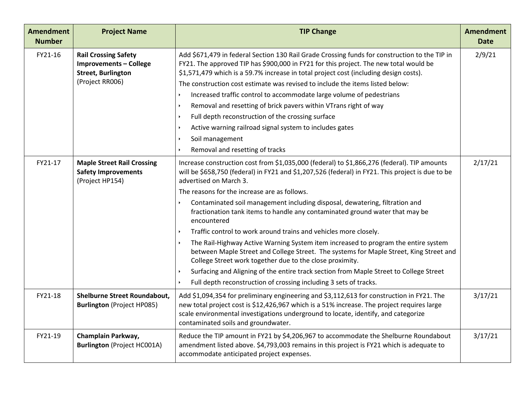| <b>Amendment</b><br><b>Number</b> | <b>Project Name</b>                                                                                          | <b>TIP Change</b>                                                                                                                                                                                                                                                                                                                                                                                                                                                                                                                                                                                                                                                                                                                                                                                                                                                                                                                      | <b>Amendment</b><br><b>Date</b> |
|-----------------------------------|--------------------------------------------------------------------------------------------------------------|----------------------------------------------------------------------------------------------------------------------------------------------------------------------------------------------------------------------------------------------------------------------------------------------------------------------------------------------------------------------------------------------------------------------------------------------------------------------------------------------------------------------------------------------------------------------------------------------------------------------------------------------------------------------------------------------------------------------------------------------------------------------------------------------------------------------------------------------------------------------------------------------------------------------------------------|---------------------------------|
| FY21-16                           | <b>Rail Crossing Safety</b><br><b>Improvements - College</b><br><b>Street, Burlington</b><br>(Project RR006) | Add \$671,479 in federal Section 130 Rail Grade Crossing funds for construction to the TIP in<br>FY21. The approved TIP has \$900,000 in FY21 for this project. The new total would be<br>\$1,571,479 which is a 59.7% increase in total project cost (including design costs).<br>The construction cost estimate was revised to include the items listed below:<br>Increased traffic control to accommodate large volume of pedestrians<br>Removal and resetting of brick pavers within VTrans right of way<br>Full depth reconstruction of the crossing surface<br>Active warning railroad signal system to includes gates<br>Soil management<br>Removal and resetting of tracks                                                                                                                                                                                                                                                     | 2/9/21                          |
| FY21-17                           | <b>Maple Street Rail Crossing</b><br><b>Safety Improvements</b><br>(Project HP154)                           | Increase construction cost from \$1,035,000 (federal) to \$1,866,276 (federal). TIP amounts<br>will be \$658,750 (federal) in FY21 and \$1,207,526 (federal) in FY21. This project is due to be<br>advertised on March 3.<br>The reasons for the increase are as follows.<br>Contaminated soil management including disposal, dewatering, filtration and<br>fractionation tank items to handle any contaminated ground water that may be<br>encountered<br>Traffic control to work around trains and vehicles more closely.<br>The Rail-Highway Active Warning System item increased to program the entire system<br>between Maple Street and College Street. The systems for Maple Street, King Street and<br>College Street work together due to the close proximity.<br>Surfacing and Aligning of the entire track section from Maple Street to College Street<br>Full depth reconstruction of crossing including 3 sets of tracks. | 2/17/21                         |
| FY21-18                           | Shelburne Street Roundabout,<br><b>Burlington (Project HP085)</b>                                            | Add \$1,094,354 for preliminary engineering and \$3,112,613 for construction in FY21. The<br>new total project cost is \$12,426,967 which is a 51% increase. The project requires large<br>scale environmental investigations underground to locate, identify, and categorize<br>contaminated soils and groundwater.                                                                                                                                                                                                                                                                                                                                                                                                                                                                                                                                                                                                                   | 3/17/21                         |
| FY21-19                           | Champlain Parkway,<br><b>Burlington (Project HC001A)</b>                                                     | Reduce the TIP amount in FY21 by \$4,206,967 to accommodate the Shelburne Roundabout<br>amendment listed above. \$4,793,003 remains in this project is FY21 which is adequate to<br>accommodate anticipated project expenses.                                                                                                                                                                                                                                                                                                                                                                                                                                                                                                                                                                                                                                                                                                          | 3/17/21                         |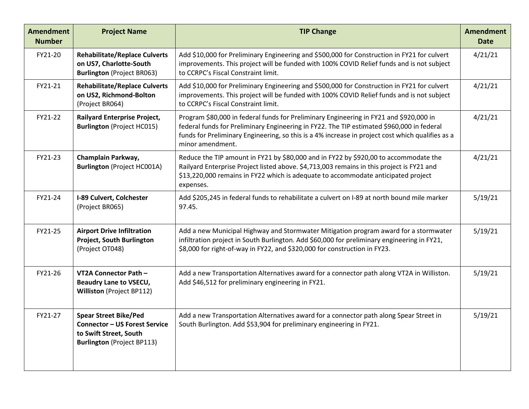| <b>Amendment</b><br><b>Number</b> | <b>Project Name</b>                                                                                                                 | <b>TIP Change</b>                                                                                                                                                                                                                                                                                           | <b>Amendment</b><br><b>Date</b> |
|-----------------------------------|-------------------------------------------------------------------------------------------------------------------------------------|-------------------------------------------------------------------------------------------------------------------------------------------------------------------------------------------------------------------------------------------------------------------------------------------------------------|---------------------------------|
| FY21-20                           | <b>Rehabilitate/Replace Culverts</b><br>on US7, Charlotte-South<br><b>Burlington</b> (Project BR063)                                | Add \$10,000 for Preliminary Engineering and \$500,000 for Construction in FY21 for culvert<br>improvements. This project will be funded with 100% COVID Relief funds and is not subject<br>to CCRPC's Fiscal Constraint limit.                                                                             | 4/21/21                         |
| FY21-21                           | <b>Rehabilitate/Replace Culverts</b><br>on US2, Richmond-Bolton<br>(Project BR064)                                                  | Add \$10,000 for Preliminary Engineering and \$500,000 for Construction in FY21 for culvert<br>improvements. This project will be funded with 100% COVID Relief funds and is not subject<br>to CCRPC's Fiscal Constraint limit.                                                                             | 4/21/21                         |
| FY21-22                           | <b>Railyard Enterprise Project,</b><br><b>Burlington</b> (Project HC015)                                                            | Program \$80,000 in federal funds for Preliminary Engineering in FY21 and \$920,000 in<br>federal funds for Preliminary Engineering in FY22. The TIP estimated \$960,000 in federal<br>funds for Preliminary Engineering, so this is a 4% increase in project cost which qualifies as a<br>minor amendment. | 4/21/21                         |
| FY21-23                           | Champlain Parkway,<br><b>Burlington (Project HC001A)</b>                                                                            | Reduce the TIP amount in FY21 by \$80,000 and in FY22 by \$920,00 to accommodate the<br>Railyard Enterprise Project listed above. \$4,713,003 remains in this project is FY21 and<br>\$13,220,000 remains in FY22 which is adequate to accommodate anticipated project<br>expenses.                         | 4/21/21                         |
| FY21-24                           | <b>I-89 Culvert, Colchester</b><br>(Project BR065)                                                                                  | Add \$205,245 in federal funds to rehabilitate a culvert on I-89 at north bound mile marker<br>97.45.                                                                                                                                                                                                       | 5/19/21                         |
| FY21-25                           | <b>Airport Drive Infiltration</b><br><b>Project, South Burlington</b><br>(Project OT048)                                            | Add a new Municipal Highway and Stormwater Mitigation program award for a stormwater<br>infiltration project in South Burlington. Add \$60,000 for preliminary engineering in FY21,<br>\$8,000 for right-of-way in FY22, and \$320,000 for construction in FY23.                                            | 5/19/21                         |
| FY21-26                           | VT2A Connector Path -<br><b>Beaudry Lane to VSECU,</b><br><b>Williston</b> (Project BP112)                                          | Add a new Transportation Alternatives award for a connector path along VT2A in Williston.<br>Add \$46,512 for preliminary engineering in FY21.                                                                                                                                                              | 5/19/21                         |
| FY21-27                           | <b>Spear Street Bike/Ped</b><br><b>Connector - US Forest Service</b><br>to Swift Street, South<br><b>Burlington</b> (Project BP113) | Add a new Transportation Alternatives award for a connector path along Spear Street in<br>South Burlington. Add \$53,904 for preliminary engineering in FY21.                                                                                                                                               | 5/19/21                         |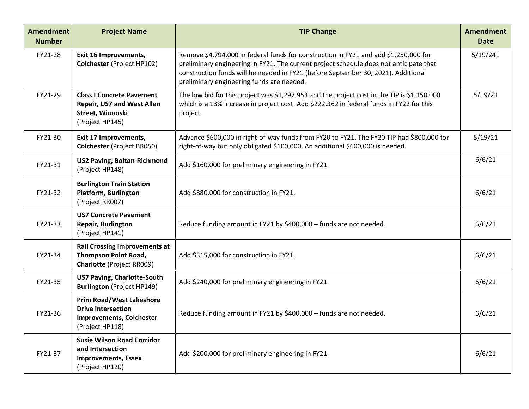| <b>Amendment</b><br><b>Number</b> | <b>Project Name</b>                                                                                                | <b>TIP Change</b>                                                                                                                                                                                                                                                                                                | <b>Amendment</b><br><b>Date</b> |
|-----------------------------------|--------------------------------------------------------------------------------------------------------------------|------------------------------------------------------------------------------------------------------------------------------------------------------------------------------------------------------------------------------------------------------------------------------------------------------------------|---------------------------------|
| FY21-28                           | <b>Exit 16 Improvements,</b><br>Colchester (Project HP102)                                                         | Remove \$4,794,000 in federal funds for construction in FY21 and add \$1,250,000 for<br>preliminary engineering in FY21. The current project schedule does not anticipate that<br>construction funds will be needed in FY21 (before September 30, 2021). Additional<br>preliminary engineering funds are needed. | 5/19/241                        |
| FY21-29                           | <b>Class I Concrete Pavement</b><br><b>Repair, US7 and West Allen</b><br>Street, Winooski<br>(Project HP145)       | The low bid for this project was \$1,297,953 and the project cost in the TIP is \$1,150,000<br>which is a 13% increase in project cost. Add \$222,362 in federal funds in FY22 for this<br>project.                                                                                                              | 5/19/21                         |
| FY21-30                           | Exit 17 Improvements,<br><b>Colchester (Project BR050)</b>                                                         | Advance \$600,000 in right-of-way funds from FY20 to FY21. The FY20 TIP had \$800,000 for<br>right-of-way but only obligated \$100,000. An additional \$600,000 is needed.                                                                                                                                       | 5/19/21                         |
| FY21-31                           | <b>US2 Paving, Bolton-Richmond</b><br>(Project HP148)                                                              | Add \$160,000 for preliminary engineering in FY21.                                                                                                                                                                                                                                                               | 6/6/21                          |
| FY21-32                           | <b>Burlington Train Station</b><br><b>Platform, Burlington</b><br>(Project RR007)                                  | Add \$880,000 for construction in FY21.                                                                                                                                                                                                                                                                          | 6/6/21                          |
| FY21-33                           | <b>US7 Concrete Pavement</b><br><b>Repair, Burlington</b><br>(Project HP141)                                       | Reduce funding amount in FY21 by \$400,000 - funds are not needed.                                                                                                                                                                                                                                               | 6/6/21                          |
| FY21-34                           | <b>Rail Crossing Improvements at</b><br><b>Thompson Point Road,</b><br><b>Charlotte (Project RR009)</b>            | Add \$315,000 for construction in FY21.                                                                                                                                                                                                                                                                          | 6/6/21                          |
| FY21-35                           | <b>US7 Paving, Charlotte-South</b><br><b>Burlington</b> (Project HP149)                                            | Add \$240,000 for preliminary engineering in FY21.                                                                                                                                                                                                                                                               | 6/6/21                          |
| FY21-36                           | <b>Prim Road/West Lakeshore</b><br><b>Drive Intersection</b><br><b>Improvements, Colchester</b><br>(Project HP118) | Reduce funding amount in FY21 by \$400,000 - funds are not needed.                                                                                                                                                                                                                                               | 6/6/21                          |
| FY21-37                           | <b>Susie Wilson Road Corridor</b><br>and Intersection<br><b>Improvements, Essex</b><br>(Project HP120)             | Add \$200,000 for preliminary engineering in FY21.                                                                                                                                                                                                                                                               | 6/6/21                          |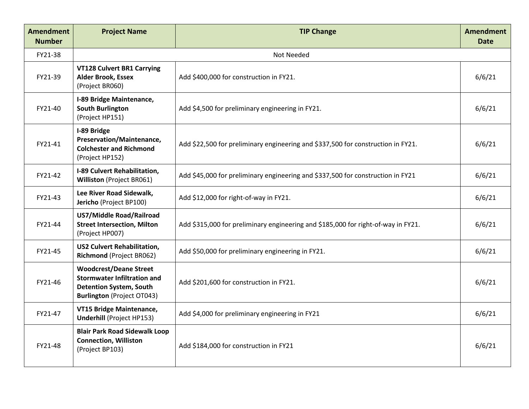| <b>Amendment</b><br><b>Number</b> | <b>Project Name</b>                                                                                                                        | <b>TIP Change</b>                                                                 | <b>Amendment</b><br><b>Date</b> |
|-----------------------------------|--------------------------------------------------------------------------------------------------------------------------------------------|-----------------------------------------------------------------------------------|---------------------------------|
| FY21-38                           |                                                                                                                                            | Not Needed                                                                        |                                 |
| FY21-39                           | <b>VT128 Culvert BR1 Carrying</b><br><b>Alder Brook, Essex</b><br>(Project BR060)                                                          | Add \$400,000 for construction in FY21.                                           | 6/6/21                          |
| FY21-40                           | I-89 Bridge Maintenance,<br><b>South Burlington</b><br>(Project HP151)                                                                     | Add \$4,500 for preliminary engineering in FY21.                                  | 6/6/21                          |
| FY21-41                           | I-89 Bridge<br>Preservation/Maintenance,<br><b>Colchester and Richmond</b><br>(Project HP152)                                              | Add \$22,500 for preliminary engineering and \$337,500 for construction in FY21.  | 6/6/21                          |
| FY21-42                           | I-89 Culvert Rehabilitation,<br><b>Williston</b> (Project BR061)                                                                           | Add \$45,000 for preliminary engineering and \$337,500 for construction in FY21   | 6/6/21                          |
| FY21-43                           | Lee River Road Sidewalk,<br>Jericho (Project BP100)                                                                                        | Add \$12,000 for right-of-way in FY21.                                            | 6/6/21                          |
| FY21-44                           | US7/Middle Road/Railroad<br><b>Street Intersection, Milton</b><br>(Project HP007)                                                          | Add \$315,000 for preliminary engineering and \$185,000 for right-of-way in FY21. | 6/6/21                          |
| FY21-45                           | <b>US2 Culvert Rehabilitation,</b><br>Richmond (Project BR062)                                                                             | Add \$50,000 for preliminary engineering in FY21.                                 | 6/6/21                          |
| FY21-46                           | <b>Woodcrest/Deane Street</b><br><b>Stormwater Infiltration and</b><br><b>Detention System, South</b><br><b>Burlington</b> (Project OT043) | Add \$201,600 for construction in FY21.                                           | 6/6/21                          |
| FY21-47                           | VT15 Bridge Maintenance,<br><b>Underhill (Project HP153)</b>                                                                               | Add \$4,000 for preliminary engineering in FY21                                   | 6/6/21                          |
| FY21-48                           | <b>Blair Park Road Sidewalk Loop</b><br><b>Connection, Williston</b><br>(Project BP103)                                                    | Add \$184,000 for construction in FY21                                            | 6/6/21                          |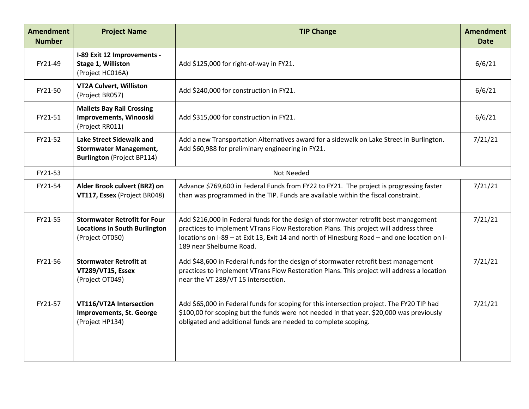| <b>Amendment</b><br><b>Number</b> | <b>Project Name</b>                                                                            | <b>TIP Change</b>                                                                                                                                                                                                                                                                                         | <b>Amendment</b><br><b>Date</b> |
|-----------------------------------|------------------------------------------------------------------------------------------------|-----------------------------------------------------------------------------------------------------------------------------------------------------------------------------------------------------------------------------------------------------------------------------------------------------------|---------------------------------|
| FY21-49                           | I-89 Exit 12 Improvements -<br>Stage 1, Williston<br>(Project HC016A)                          | Add \$125,000 for right-of-way in FY21.                                                                                                                                                                                                                                                                   | 6/6/21                          |
| FY21-50                           | VT2A Culvert, Williston<br>(Project BR057)                                                     | Add \$240,000 for construction in FY21.                                                                                                                                                                                                                                                                   | 6/6/21                          |
| FY21-51                           | <b>Mallets Bay Rail Crossing</b><br>Improvements, Winooski<br>(Project RR011)                  | Add \$315,000 for construction in FY21.                                                                                                                                                                                                                                                                   | 6/6/21                          |
| FY21-52                           | Lake Street Sidewalk and<br><b>Stormwater Management,</b><br><b>Burlington</b> (Project BP114) | Add a new Transportation Alternatives award for a sidewalk on Lake Street in Burlington.<br>Add \$60,988 for preliminary engineering in FY21.                                                                                                                                                             | 7/21/21                         |
| FY21-53                           |                                                                                                | Not Needed                                                                                                                                                                                                                                                                                                |                                 |
| FY21-54                           | Alder Brook culvert (BR2) on<br>VT117, Essex (Project BR048)                                   | Advance \$769,600 in Federal Funds from FY22 to FY21. The project is progressing faster<br>than was programmed in the TIP. Funds are available within the fiscal constraint.                                                                                                                              | 7/21/21                         |
| FY21-55                           | <b>Stormwater Retrofit for Four</b><br><b>Locations in South Burlington</b><br>(Project OT050) | Add \$216,000 in Federal funds for the design of stormwater retrofit best management<br>practices to implement VTrans Flow Restoration Plans. This project will address three<br>locations on I-89 - at Exit 13, Exit 14 and north of Hinesburg Road - and one location on I-<br>189 near Shelburne Road. | 7/21/21                         |
| FY21-56                           | <b>Stormwater Retrofit at</b><br>VT289/VT15, Essex<br>(Project OT049)                          | Add \$48,600 in Federal funds for the design of stormwater retrofit best management<br>practices to implement VTrans Flow Restoration Plans. This project will address a location<br>near the VT 289/VT 15 intersection.                                                                                  | 7/21/21                         |
| FY21-57                           | VT116/VT2A Intersection<br><b>Improvements, St. George</b><br>(Project HP134)                  | Add \$65,000 in Federal funds for scoping for this intersection project. The FY20 TIP had<br>\$100,00 for scoping but the funds were not needed in that year. \$20,000 was previously<br>obligated and additional funds are needed to complete scoping.                                                   | 7/21/21                         |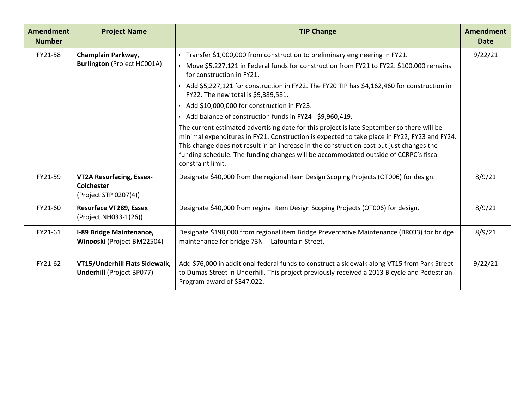| <b>Amendment</b><br><b>Number</b> | <b>Project Name</b>                                                           | <b>TIP Change</b>                                                                                                                                                                                                                                                                                                                                                                                                                                                                                                                                                                                                                                 | <b>Amendment</b><br><b>Date</b> |
|-----------------------------------|-------------------------------------------------------------------------------|---------------------------------------------------------------------------------------------------------------------------------------------------------------------------------------------------------------------------------------------------------------------------------------------------------------------------------------------------------------------------------------------------------------------------------------------------------------------------------------------------------------------------------------------------------------------------------------------------------------------------------------------------|---------------------------------|
| FY21-58                           | Champlain Parkway,<br><b>Burlington (Project HC001A)</b>                      | ▸ Transfer \$1,000,000 from construction to preliminary engineering in FY21.<br>Move \$5,227,121 in Federal funds for construction from FY21 to FY22. \$100,000 remains<br>for construction in FY21.<br>Add \$5,227,121 for construction in FY22. The FY20 TIP has \$4,162,460 for construction in<br>FY22. The new total is \$9,389,581.<br>Add \$10,000,000 for construction in FY23.<br>Add balance of construction funds in FY24 - \$9,960,419.<br>The current estimated advertising date for this project is late September so there will be<br>minimal expenditures in FY21. Construction is expected to take place in FY22, FY23 and FY24. | 9/22/21                         |
|                                   |                                                                               | This change does not result in an increase in the construction cost but just changes the<br>funding schedule. The funding changes will be accommodated outside of CCRPC's fiscal<br>constraint limit.                                                                                                                                                                                                                                                                                                                                                                                                                                             |                                 |
| FY21-59                           | <b>VT2A Resurfacing, Essex-</b><br><b>Colchester</b><br>(Project STP 0207(4)) | Designate \$40,000 from the regional item Design Scoping Projects (OT006) for design.                                                                                                                                                                                                                                                                                                                                                                                                                                                                                                                                                             | 8/9/21                          |
| FY21-60                           | <b>Resurface VT289, Essex</b><br>(Project NH033-1(26))                        | Designate \$40,000 from reginal item Design Scoping Projects (OT006) for design.                                                                                                                                                                                                                                                                                                                                                                                                                                                                                                                                                                  | 8/9/21                          |
| FY21-61                           | I-89 Bridge Maintenance,<br>Winooski (Project BM22504)                        | Designate \$198,000 from regional item Bridge Preventative Maintenance (BR033) for bridge<br>maintenance for bridge 73N -- Lafountain Street.                                                                                                                                                                                                                                                                                                                                                                                                                                                                                                     | 8/9/21                          |
| FY21-62                           | VT15/Underhill Flats Sidewalk,<br><b>Underhill (Project BP077)</b>            | Add \$76,000 in additional federal funds to construct a sidewalk along VT15 from Park Street<br>to Dumas Street in Underhill. This project previously received a 2013 Bicycle and Pedestrian<br>Program award of \$347,022.                                                                                                                                                                                                                                                                                                                                                                                                                       | 9/22/21                         |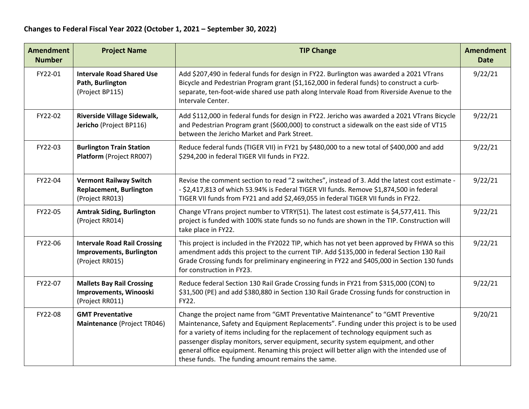| <b>Amendment</b><br><b>Number</b> | <b>Project Name</b>                                                                       | <b>TIP Change</b>                                                                                                                                                                                                                                                                                                                                                                                                                                                                                            | <b>Amendment</b><br><b>Date</b> |
|-----------------------------------|-------------------------------------------------------------------------------------------|--------------------------------------------------------------------------------------------------------------------------------------------------------------------------------------------------------------------------------------------------------------------------------------------------------------------------------------------------------------------------------------------------------------------------------------------------------------------------------------------------------------|---------------------------------|
| FY22-01                           | <b>Intervale Road Shared Use</b><br>Path, Burlington<br>(Project BP115)                   | Add \$207,490 in federal funds for design in FY22. Burlington was awarded a 2021 VTrans<br>Bicycle and Pedestrian Program grant (\$1,162,000 in federal funds) to construct a curb-<br>separate, ten-foot-wide shared use path along Intervale Road from Riverside Avenue to the<br>Intervale Center.                                                                                                                                                                                                        | 9/22/21                         |
| FY22-02                           | Riverside Village Sidewalk,<br>Jericho (Project BP116)                                    | Add \$112,000 in federal funds for design in FY22. Jericho was awarded a 2021 VTrans Bicycle<br>and Pedestrian Program grant (\$600,000) to construct a sidewalk on the east side of VT15<br>between the Jericho Market and Park Street.                                                                                                                                                                                                                                                                     | 9/22/21                         |
| FY22-03                           | <b>Burlington Train Station</b><br>Platform (Project RR007)                               | Reduce federal funds (TIGER VII) in FY21 by \$480,000 to a new total of \$400,000 and add<br>\$294,200 in federal TIGER VII funds in FY22.                                                                                                                                                                                                                                                                                                                                                                   | 9/22/21                         |
| FY22-04                           | <b>Vermont Railway Switch</b><br><b>Replacement, Burlington</b><br>(Project RR013)        | Revise the comment section to read "2 switches", instead of 3. Add the latest cost estimate -<br>- \$2,417,813 of which 53.94% is Federal TIGER VII funds. Remove \$1,874,500 in federal<br>TIGER VII funds from FY21 and add \$2,469,055 in federal TIGER VII funds in FY22.                                                                                                                                                                                                                                | 9/22/21                         |
| FY22-05                           | <b>Amtrak Siding, Burlington</b><br>(Project RR014)                                       | Change VTrans project number to VTRY(51). The latest cost estimate is \$4,577,411. This<br>project is funded with 100% state funds so no funds are shown in the TIP. Construction will<br>take place in FY22.                                                                                                                                                                                                                                                                                                | 9/22/21                         |
| FY22-06                           | <b>Intervale Road Rail Crossing</b><br><b>Improvements, Burlington</b><br>(Project RR015) | This project is included in the FY2022 TIP, which has not yet been approved by FHWA so this<br>amendment adds this project to the current TIP. Add \$135,000 in federal Section 130 Rail<br>Grade Crossing funds for preliminary engineering in FY22 and \$405,000 in Section 130 funds<br>for construction in FY23.                                                                                                                                                                                         | 9/22/21                         |
| FY22-07                           | <b>Mallets Bay Rail Crossing</b><br>Improvements, Winooski<br>(Project RR011)             | Reduce federal Section 130 Rail Grade Crossing funds in FY21 from \$315,000 (CON) to<br>\$31,500 (PE) and add \$380,880 in Section 130 Rail Grade Crossing funds for construction in<br>FY22.                                                                                                                                                                                                                                                                                                                | 9/22/21                         |
| FY22-08                           | <b>GMT Preventative</b><br>Maintenance (Project TR046)                                    | Change the project name from "GMT Preventative Maintenance" to "GMT Preventive<br>Maintenance, Safety and Equipment Replacements". Funding under this project is to be used<br>for a variety of items including for the replacement of technology equipment such as<br>passenger display monitors, server equipment, security system equipment, and other<br>general office equipment. Renaming this project will better align with the intended use of<br>these funds. The funding amount remains the same. | 9/20/21                         |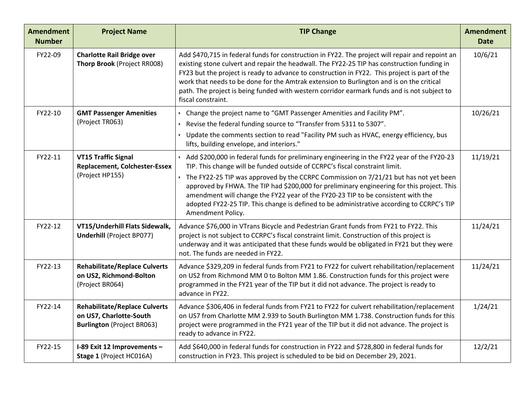| <b>Amendment</b><br><b>Number</b> | <b>Project Name</b>                                                                                  | <b>TIP Change</b>                                                                                                                                                                                                                                                                                                                                                                                                                                                                                                                                                     | <b>Amendment</b><br><b>Date</b> |
|-----------------------------------|------------------------------------------------------------------------------------------------------|-----------------------------------------------------------------------------------------------------------------------------------------------------------------------------------------------------------------------------------------------------------------------------------------------------------------------------------------------------------------------------------------------------------------------------------------------------------------------------------------------------------------------------------------------------------------------|---------------------------------|
| FY22-09                           | <b>Charlotte Rail Bridge over</b><br>Thorp Brook (Project RR008)                                     | Add \$470,715 in federal funds for construction in FY22. The project will repair and repoint an<br>existing stone culvert and repair the headwall. The FY22-25 TIP has construction funding in<br>FY23 but the project is ready to advance to construction in FY22. This project is part of the<br>work that needs to be done for the Amtrak extension to Burlington and is on the critical<br>path. The project is being funded with western corridor earmark funds and is not subject to<br>fiscal constraint.                                                      | 10/6/21                         |
| FY22-10                           | <b>GMT Passenger Amenities</b><br>(Project TR063)                                                    | Change the project name to "GMT Passenger Amenities and Facility PM".<br>Revise the federal funding source to "Transfer from 5311 to 5307".<br>• Update the comments section to read "Facility PM such as HVAC, energy efficiency, bus<br>lifts, building envelope, and interiors."                                                                                                                                                                                                                                                                                   | 10/26/21                        |
| FY22-11                           | <b>VT15 Traffic Signal</b><br><b>Replacement, Colchester-Essex</b><br>(Project HP155)                | Add \$200,000 in federal funds for preliminary engineering in the FY22 year of the FY20-23<br>TIP. This change will be funded outside of CCRPC's fiscal constraint limit.<br>The FY22-25 TIP was approved by the CCRPC Commission on 7/21/21 but has not yet been<br>approved by FHWA. The TIP had \$200,000 for preliminary engineering for this project. This<br>amendment will change the FY22 year of the FY20-23 TIP to be consistent with the<br>adopted FY22-25 TIP. This change is defined to be administrative according to CCRPC's TIP<br>Amendment Policy. | 11/19/21                        |
| FY22-12                           | VT15/Underhill Flats Sidewalk,<br><b>Underhill (Project BP077)</b>                                   | Advance \$76,000 in VTrans Bicycle and Pedestrian Grant funds from FY21 to FY22. This<br>project is not subject to CCRPC's fiscal constraint limit. Construction of this project is<br>underway and it was anticipated that these funds would be obligated in FY21 but they were<br>not. The funds are needed in FY22.                                                                                                                                                                                                                                                | 11/24/21                        |
| FY22-13                           | <b>Rehabilitate/Replace Culverts</b><br>on US2, Richmond-Bolton<br>(Project BR064)                   | Advance \$329,209 in federal funds from FY21 to FY22 for culvert rehabilitation/replacement<br>on US2 from Richmond MM 0 to Bolton MM 1.86. Construction funds for this project were<br>programmed in the FY21 year of the TIP but it did not advance. The project is ready to<br>advance in FY22.                                                                                                                                                                                                                                                                    | 11/24/21                        |
| FY22-14                           | <b>Rehabilitate/Replace Culverts</b><br>on US7, Charlotte-South<br><b>Burlington</b> (Project BR063) | Advance \$306,406 in federal funds from FY21 to FY22 for culvert rehabilitation/replacement<br>on US7 from Charlotte MM 2.939 to South Burlington MM 1.738. Construction funds for this<br>project were programmed in the FY21 year of the TIP but it did not advance. The project is<br>ready to advance in FY22.                                                                                                                                                                                                                                                    | 1/24/21                         |
| FY22-15                           | I-89 Exit 12 Improvements -<br>Stage 1 (Project HC016A)                                              | Add \$640,000 in federal funds for construction in FY22 and \$728,800 in federal funds for<br>construction in FY23. This project is scheduled to be bid on December 29, 2021.                                                                                                                                                                                                                                                                                                                                                                                         | 12/2/21                         |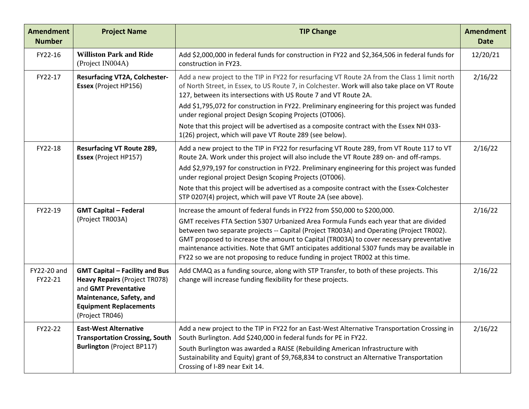| <b>Amendment</b><br><b>Number</b> | <b>Project Name</b>                                                                                                                                                                   | <b>TIP Change</b>                                                                                                                                                                                                                                                                                                                                                                                                                                                                                                                                                             | <b>Amendment</b><br><b>Date</b> |
|-----------------------------------|---------------------------------------------------------------------------------------------------------------------------------------------------------------------------------------|-------------------------------------------------------------------------------------------------------------------------------------------------------------------------------------------------------------------------------------------------------------------------------------------------------------------------------------------------------------------------------------------------------------------------------------------------------------------------------------------------------------------------------------------------------------------------------|---------------------------------|
| FY22-16                           | <b>Williston Park and Ride</b><br>(Project IN004A)                                                                                                                                    | Add \$2,000,000 in federal funds for construction in FY22 and \$2,364,506 in federal funds for<br>construction in FY23.                                                                                                                                                                                                                                                                                                                                                                                                                                                       | 12/20/21                        |
| FY22-17                           | <b>Resurfacing VT2A, Colchester-</b><br>Essex (Project HP156)                                                                                                                         | Add a new project to the TIP in FY22 for resurfacing VT Route 2A from the Class 1 limit north<br>of North Street, in Essex, to US Route 7, in Colchester. Work will also take place on VT Route<br>127, between its intersections with US Route 7 and VT Route 2A.<br>Add \$1,795,072 for construction in FY22. Preliminary engineering for this project was funded<br>under regional project Design Scoping Projects (OT006).<br>Note that this project will be advertised as a composite contract with the Essex NH 033-                                                    | 2/16/22                         |
| FY22-18                           | <b>Resurfacing VT Route 289,</b><br>Essex (Project HP157)                                                                                                                             | 1(26) project, which will pave VT Route 289 (see below).<br>Add a new project to the TIP in FY22 for resurfacing VT Route 289, from VT Route 117 to VT<br>Route 2A. Work under this project will also include the VT Route 289 on- and off-ramps.<br>Add \$2,979,197 for construction in FY22. Preliminary engineering for this project was funded<br>under regional project Design Scoping Projects (OT006).<br>Note that this project will be advertised as a composite contract with the Essex-Colchester<br>STP 0207(4) project, which will pave VT Route 2A (see above). | 2/16/22                         |
| FY22-19                           | <b>GMT Capital - Federal</b><br>(Project TR003A)                                                                                                                                      | Increase the amount of federal funds in FY22 from \$50,000 to \$200,000.<br>GMT receives FTA Section 5307 Urbanized Area Formula Funds each year that are divided<br>between two separate projects -- Capital (Project TR003A) and Operating (Project TR002).<br>GMT proposed to increase the amount to Capital (TR003A) to cover necessary preventative<br>maintenance activities. Note that GMT anticipates additional 5307 funds may be available in<br>FY22 so we are not proposing to reduce funding in project TR002 at this time.                                      | 2/16/22                         |
| FY22-20 and<br>FY22-21            | <b>GMT Capital - Facility and Bus</b><br><b>Heavy Repairs (Project TR078)</b><br>and GMT Preventative<br>Maintenance, Safety, and<br><b>Equipment Replacements</b><br>(Project TR046) | Add CMAQ as a funding source, along with STP Transfer, to both of these projects. This<br>change will increase funding flexibility for these projects.                                                                                                                                                                                                                                                                                                                                                                                                                        | 2/16/22                         |
| FY22-22                           | <b>East-West Alternative</b><br><b>Transportation Crossing, South</b><br><b>Burlington</b> (Project BP117)                                                                            | Add a new project to the TIP in FY22 for an East-West Alternative Transportation Crossing in<br>South Burlington. Add \$240,000 in federal funds for PE in FY22.<br>South Burlington was awarded a RAISE (Rebuilding American Infrastructure with<br>Sustainability and Equity) grant of \$9,768,834 to construct an Alternative Transportation<br>Crossing of I-89 near Exit 14.                                                                                                                                                                                             | 2/16/22                         |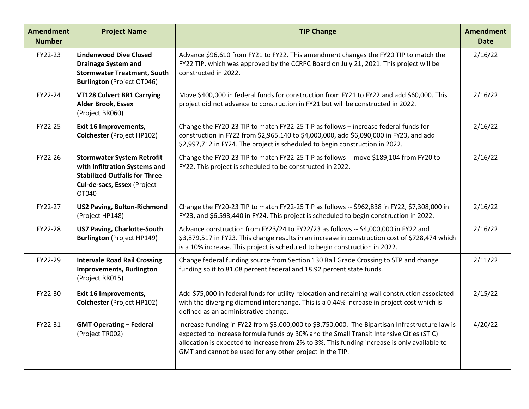| <b>Amendment</b><br><b>Number</b> | <b>Project Name</b>                                                                                                                                | <b>TIP Change</b>                                                                                                                                                                                                                                                                                                                                     | <b>Amendment</b><br><b>Date</b> |
|-----------------------------------|----------------------------------------------------------------------------------------------------------------------------------------------------|-------------------------------------------------------------------------------------------------------------------------------------------------------------------------------------------------------------------------------------------------------------------------------------------------------------------------------------------------------|---------------------------------|
| FY22-23                           | <b>Lindenwood Dive Closed</b><br><b>Drainage System and</b><br><b>Stormwater Treatment, South</b><br><b>Burlington</b> (Project OT046)             | Advance \$96,610 from FY21 to FY22. This amendment changes the FY20 TIP to match the<br>FY22 TIP, which was approved by the CCRPC Board on July 21, 2021. This project will be<br>constructed in 2022.                                                                                                                                                | 2/16/22                         |
| FY22-24                           | <b>VT128 Culvert BR1 Carrying</b><br><b>Alder Brook, Essex</b><br>(Project BR060)                                                                  | Move \$400,000 in federal funds for construction from FY21 to FY22 and add \$60,000. This<br>project did not advance to construction in FY21 but will be constructed in 2022.                                                                                                                                                                         | 2/16/22                         |
| FY22-25                           | Exit 16 Improvements,<br>Colchester (Project HP102)                                                                                                | Change the FY20-23 TIP to match FY22-25 TIP as follows - increase federal funds for<br>construction in FY22 from \$2,965.140 to \$4,000,000, add \$6,090,000 in FY23, and add<br>\$2,997,712 in FY24. The project is scheduled to begin construction in 2022.                                                                                         | 2/16/22                         |
| FY22-26                           | <b>Stormwater System Retrofit</b><br>with Infiltration Systems and<br><b>Stabilized Outfalls for Three</b><br>Cul-de-sacs, Essex (Project<br>OT040 | Change the FY20-23 TIP to match FY22-25 TIP as follows -- move \$189,104 from FY20 to<br>FY22. This project is scheduled to be constructed in 2022.                                                                                                                                                                                                   | 2/16/22                         |
| FY22-27                           | <b>US2 Paving, Bolton-Richmond</b><br>(Project HP148)                                                                                              | Change the FY20-23 TIP to match FY22-25 TIP as follows -- \$962,838 in FY22, \$7,308,000 in<br>FY23, and \$6,593,440 in FY24. This project is scheduled to begin construction in 2022.                                                                                                                                                                | 2/16/22                         |
| FY22-28                           | <b>US7 Paving, Charlotte-South</b><br><b>Burlington (Project HP149)</b>                                                                            | Advance construction from FY23/24 to FY22/23 as follows -- \$4,000,000 in FY22 and<br>\$3,879,517 in FY23. This change results in an increase in construction cost of \$728,474 which<br>is a 10% increase. This project is scheduled to begin construction in 2022.                                                                                  | 2/16/22                         |
| FY22-29                           | <b>Intervale Road Rail Crossing</b><br><b>Improvements, Burlington</b><br>(Project RR015)                                                          | Change federal funding source from Section 130 Rail Grade Crossing to STP and change<br>funding split to 81.08 percent federal and 18.92 percent state funds.                                                                                                                                                                                         | 2/11/22                         |
| FY22-30                           | Exit 16 Improvements,<br>Colchester (Project HP102)                                                                                                | Add \$75,000 in federal funds for utility relocation and retaining wall construction associated<br>with the diverging diamond interchange. This is a 0.44% increase in project cost which is<br>defined as an administrative change.                                                                                                                  | 2/15/22                         |
| FY22-31                           | <b>GMT Operating - Federal</b><br>(Project TR002)                                                                                                  | Increase funding in FY22 from \$3,000,000 to \$3,750,000. The Bipartisan Infrastructure law is<br>expected to increase formula funds by 30% and the Small Transit Intensive Cities (STIC)<br>allocation is expected to increase from 2% to 3%. This funding increase is only available to<br>GMT and cannot be used for any other project in the TIP. | 4/20/22                         |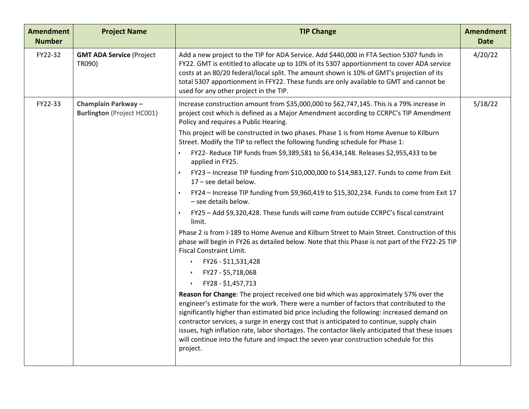| <b>Amendment</b><br><b>Number</b> | <b>Project Name</b>                                     | <b>TIP Change</b>                                                                                                                                                                                                                                                                                                                                                                                                                                                                                                                                                                                                                                                                                                                                                                                                                                                                                                                                                                                                                                                                                                                                                                                                                                                                                                                                                                                                                                                                                                                                                                                                                                                                                                                                                                                                           | <b>Amendment</b><br><b>Date</b> |
|-----------------------------------|---------------------------------------------------------|-----------------------------------------------------------------------------------------------------------------------------------------------------------------------------------------------------------------------------------------------------------------------------------------------------------------------------------------------------------------------------------------------------------------------------------------------------------------------------------------------------------------------------------------------------------------------------------------------------------------------------------------------------------------------------------------------------------------------------------------------------------------------------------------------------------------------------------------------------------------------------------------------------------------------------------------------------------------------------------------------------------------------------------------------------------------------------------------------------------------------------------------------------------------------------------------------------------------------------------------------------------------------------------------------------------------------------------------------------------------------------------------------------------------------------------------------------------------------------------------------------------------------------------------------------------------------------------------------------------------------------------------------------------------------------------------------------------------------------------------------------------------------------------------------------------------------------|---------------------------------|
| FY22-32                           | <b>GMT ADA Service (Project</b><br>TR090)               | Add a new project to the TIP for ADA Service. Add \$440,000 in FTA Section 5307 funds in<br>FY22. GMT is entitled to allocate up to 10% of its 5307 apportionment to cover ADA service<br>costs at an 80/20 federal/local split. The amount shown is 10% of GMT's projection of its<br>total 5307 apportionment in FFY22. These funds are only available to GMT and cannot be<br>used for any other project in the TIP.                                                                                                                                                                                                                                                                                                                                                                                                                                                                                                                                                                                                                                                                                                                                                                                                                                                                                                                                                                                                                                                                                                                                                                                                                                                                                                                                                                                                     | 4/20/22                         |
| FY22-33                           | Champlain Parkway-<br><b>Burlington</b> (Project HC001) | Increase construction amount from \$35,000,000 to \$62,747,145. This is a 79% increase in<br>project cost which is defined as a Major Amendment according to CCRPC's TIP Amendment<br>Policy and requires a Public Hearing.<br>This project will be constructed in two phases. Phase 1 is from Home Avenue to Kilburn<br>Street. Modify the TIP to reflect the following funding schedule for Phase 1:<br>FY22- Reduce TIP funds from \$9,389,581 to \$6,434,148. Releases \$2,955,433 to be<br>applied in FY25.<br>FY23 - Increase TIP funding from \$10,000,000 to \$14,983,127. Funds to come from Exit<br>17 - see detail below.<br>FY24 - Increase TIP funding from \$9,960,419 to \$15,302,234. Funds to come from Exit 17<br>- see details below.<br>FY25 - Add \$9,320,428. These funds will come from outside CCRPC's fiscal constraint<br>limit.<br>Phase 2 is from I-189 to Home Avenue and Kilburn Street to Main Street. Construction of this<br>phase will begin in FY26 as detailed below. Note that this Phase is not part of the FY22-25 TIP<br><b>Fiscal Constraint Limit.</b><br>FY26 - \$11,531,428<br>$\blacktriangleright$<br>FY27 - \$5,718,068<br>$\blacktriangleright$<br>FY28 - \$1,457,713<br>$\blacktriangleright$<br>Reason for Change: The project received one bid which was approximately 57% over the<br>engineer's estimate for the work. There were a number of factors that contributed to the<br>significantly higher than estimated bid price including the following: increased demand on<br>contractor services, a surge in energy cost that is anticipated to continue, supply chain<br>issues, high inflation rate, labor shortages. The contactor likely anticipated that these issues<br>will continue into the future and impact the seven year construction schedule for this | 5/18/22                         |
|                                   |                                                         | project.                                                                                                                                                                                                                                                                                                                                                                                                                                                                                                                                                                                                                                                                                                                                                                                                                                                                                                                                                                                                                                                                                                                                                                                                                                                                                                                                                                                                                                                                                                                                                                                                                                                                                                                                                                                                                    |                                 |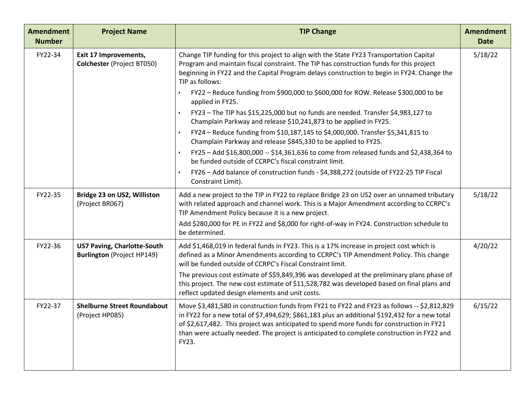| <b>Amendment</b><br><b>Number</b> | <b>Project Name</b>                                                     | <b>TIP Change</b>                                                                                                                                                                                                                                                                                                                                                                                 | <b>Amendment</b><br><b>Date</b> |
|-----------------------------------|-------------------------------------------------------------------------|---------------------------------------------------------------------------------------------------------------------------------------------------------------------------------------------------------------------------------------------------------------------------------------------------------------------------------------------------------------------------------------------------|---------------------------------|
| FY22-34                           | <b>Exit 17 Improvements,</b><br>Colchester (Project BT050)              | Change TIP funding for this project to align with the State FY23 Transportation Capital<br>Program and maintain fiscal constraint. The TIP has construction funds for this project<br>beginning in FY22 and the Capital Program delays construction to begin in FY24. Change the<br>TIP as follows:<br>FY22 - Reduce funding from \$900,000 to \$600,000 for ROW. Release \$300,000 to be         | 5/18/22                         |
|                                   |                                                                         | applied in FY25.                                                                                                                                                                                                                                                                                                                                                                                  |                                 |
|                                   |                                                                         | FY23 - The TIP has \$15,225,000 but no funds are needed. Transfer \$4,983,127 to<br>Champlain Parkway and release \$10,241,873 to be applied in FY25.                                                                                                                                                                                                                                             |                                 |
|                                   |                                                                         | FY24 - Reduce funding from \$10,187,145 to \$4,000,000. Transfer \$5,341,815 to<br>$\blacktriangleright$<br>Champlain Parkway and release \$845,330 to be applied to FY25.                                                                                                                                                                                                                        |                                 |
|                                   |                                                                         | FY25 - Add \$16,800,000 -- \$14,361,636 to come from released funds and \$2,438,364 to<br>be funded outside of CCRPC's fiscal constraint limit.                                                                                                                                                                                                                                                   |                                 |
|                                   |                                                                         | FY26 - Add balance of construction funds - \$4,388,272 (outside of FY22-25 TIP Fiscal<br>Constraint Limit).                                                                                                                                                                                                                                                                                       |                                 |
| FY22-35                           | Bridge 23 on US2, Williston<br>(Project BR067)                          | Add a new project to the TIP in FY22 to replace Bridge 23 on US2 over an unnamed tributary<br>with related approach and channel work. This is a Major Amendment according to CCRPC's<br>TIP Amendment Policy because it is a new project.                                                                                                                                                         | 5/18/22                         |
|                                   |                                                                         | Add \$280,000 for PE in FY22 and \$8,000 for right-of-way in FY24. Construction schedule to<br>be determined.                                                                                                                                                                                                                                                                                     |                                 |
| FY22-36                           | <b>US7 Paving, Charlotte-South</b><br><b>Burlington (Project HP149)</b> | Add \$1,468,019 in federal funds in FY23. This is a 17% increase in project cost which is<br>defined as a Minor Amendments according to CCRPC's TIP Amendment Policy. This change<br>will be funded outside of CCRPC's Fiscal Constraint limit.                                                                                                                                                   | 4/20/22                         |
|                                   |                                                                         | The previous cost estimate of \$\$9,849,396 was developed at the preliminary plans phase of<br>this project. The new cost estimate of \$11,528,782 was developed based on final plans and<br>reflect updated design elements and unit costs.                                                                                                                                                      |                                 |
| FY22-37                           | <b>Shelburne Street Roundabout</b><br>(Project HP085)                   | Move \$3,481,580 in construction funds from FY21 to FY22 and FY23 as follows -- \$2,812,829<br>in FY22 for a new total of \$7,494,629; \$861,183 plus an additional \$192,432 for a new total<br>of \$2,617,482. This project was anticipated to spend more funds for construction in FY21<br>than were actually needed. The project is anticipated to complete construction in FY22 and<br>FY23. | 6/15/22                         |